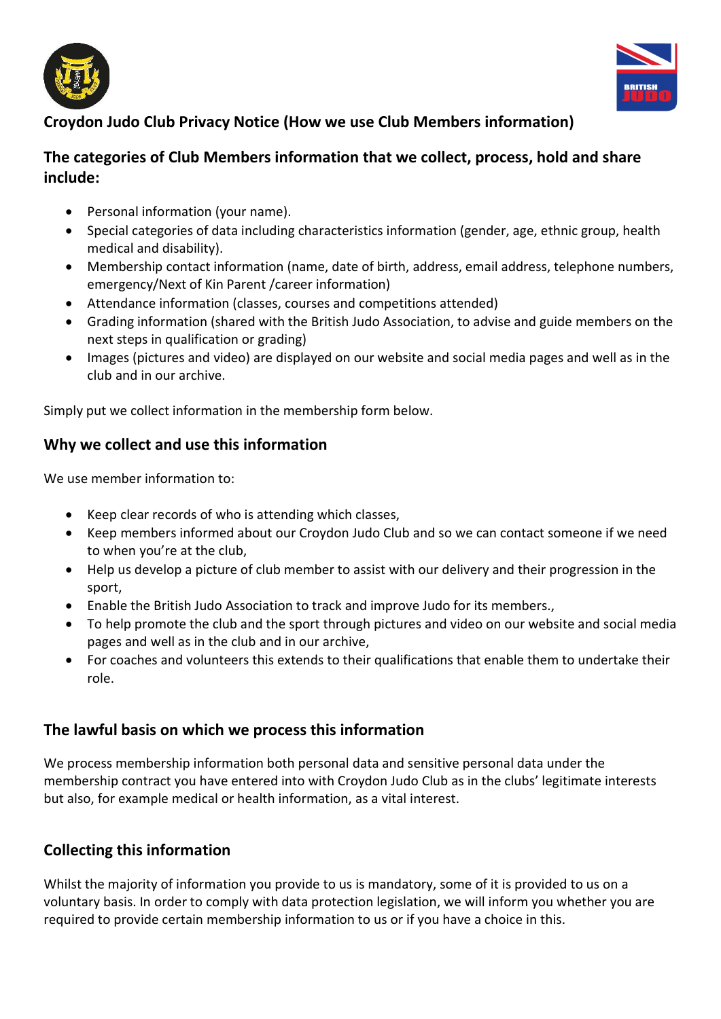



# Croydon Judo Club Privacy Notice (How we use Club Members information)

### The categories of Club Members information that we collect, process, hold and share include:

- Personal information (your name).
- Special categories of data including characteristics information (gender, age, ethnic group, health medical and disability).
- Membership contact information (name, date of birth, address, email address, telephone numbers, emergency/Next of Kin Parent /career information)
- Attendance information (classes, courses and competitions attended)
- Grading information (shared with the British Judo Association, to advise and guide members on the next steps in qualification or grading)
- Images (pictures and video) are displayed on our website and social media pages and well as in the club and in our archive.

Simply put we collect information in the membership form below.

### Why we collect and use this information

We use member information to:

- Keep clear records of who is attending which classes,
- Keep members informed about our Croydon Judo Club and so we can contact someone if we need to when you're at the club,
- Help us develop a picture of club member to assist with our delivery and their progression in the sport,
- Enable the British Judo Association to track and improve Judo for its members.,
- To help promote the club and the sport through pictures and video on our website and social media pages and well as in the club and in our archive,
- For coaches and volunteers this extends to their qualifications that enable them to undertake their role.

## The lawful basis on which we process this information

We process membership information both personal data and sensitive personal data under the membership contract you have entered into with Croydon Judo Club as in the clubs' legitimate interests but also, for example medical or health information, as a vital interest.

## Collecting this information

Whilst the majority of information you provide to us is mandatory, some of it is provided to us on a voluntary basis. In order to comply with data protection legislation, we will inform you whether you are required to provide certain membership information to us or if you have a choice in this.